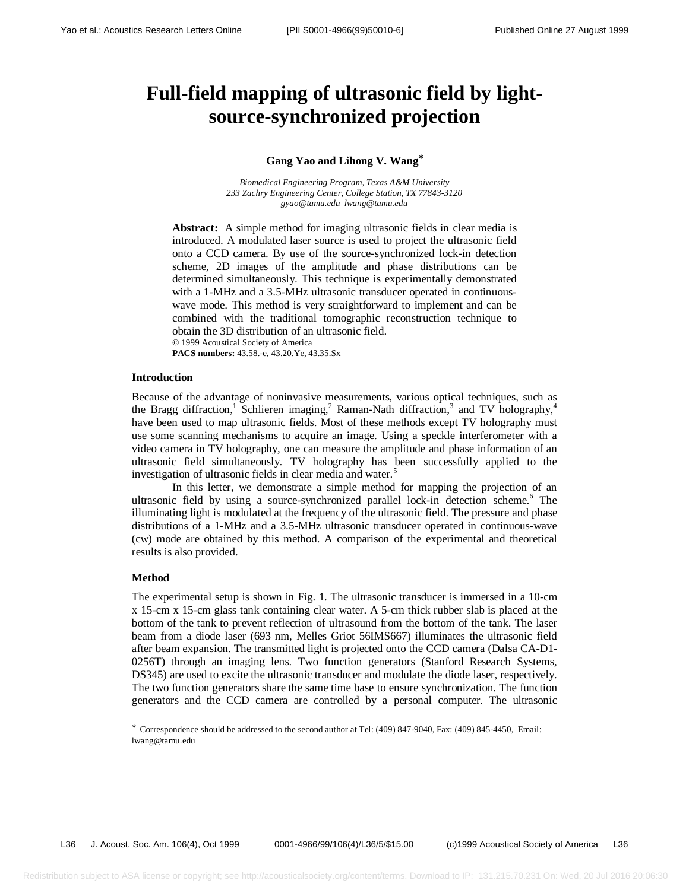# **Full-field mapping of ultrasonic field by lightsource-synchronized projection**

# **Gang Yao and Lihong V. Wang**<sup>∗</sup>

*Biomedical Engineering Program, Texas A&M University 233 Zachry Engineering Center, College Station, TX 77843-3120 gyao@tamu.edu lwang@tamu.edu*

**Abstract:** A simple method for imaging ultrasonic fields in clear media is introduced. A modulated laser source is used to project the ultrasonic field onto a CCD camera. By use of the source-synchronized lock-in detection scheme, 2D images of the amplitude and phase distributions can be determined simultaneously. This technique is experimentally demonstrated with a 1-MHz and a 3.5-MHz ultrasonic transducer operated in continuouswave mode. This method is very straightforward to implement and can be combined with the traditional tomographic reconstruction technique to obtain the 3D distribution of an ultrasonic field. © 1999 Acoustical Society of America

**PACS numbers:** 43.58.-e, 43.20.Ye, 43.35.Sx

#### **Introduction**

Because of the advantage of noninvasive measurements, various optical techniques, such as the Bragg diffraction,<sup>1</sup> Schlieren imaging,<sup>2</sup> Raman-Nath diffraction,<sup>3</sup> and TV holography,<sup>4</sup> have been used to map ultrasonic fields. Most of these methods except TV holography must use some scanning mechanisms to acquire an image. Using a speckle interferometer with a video camera in TV holography, one can measure the amplitude and phase information of an ultrasonic field simultaneously. TV holography has been successfully applied to the investigation of ultrasonic fields in clear media and water.<sup>5</sup>

In this letter, we demonstrate a simple method for mapping the projection of an ultrasonic field by using a source-synchronized parallel lock-in detection scheme.<sup>6</sup> The illuminating light is modulated at the frequency of the ultrasonic field. The pressure and phase distributions of a 1-MHz and a 3.5-MHz ultrasonic transducer operated in continuous-wave (cw) mode are obtained by this method. A comparison of the experimental and theoretical results is also provided.

#### **Method**

 $\overline{a}$ 

The experimental setup is shown in Fig. 1. The ultrasonic transducer is immersed in a 10-cm x 15-cm x 15-cm glass tank containing clear water. A 5-cm thick rubber slab is placed at the bottom of the tank to prevent reflection of ultrasound from the bottom of the tank. The laser beam from a diode laser (693 nm, Melles Griot 56IMS667) illuminates the ultrasonic field after beam expansion. The transmitted light is projected onto the CCD camera (Dalsa CA-D1- 0256T) through an imaging lens. Two function generators (Stanford Research Systems, DS345) are used to excite the ultrasonic transducer and modulate the diode laser, respectively. The two function generators share the same time base to ensure synchronization. The function generators and the CCD camera are controlled by a personal computer. The ultrasonic

<sup>∗</sup> Correspondence should be addressed to the second author at Tel: (409) 847-9040, Fax: (409) 845-4450, Email: lwang@tamu.edu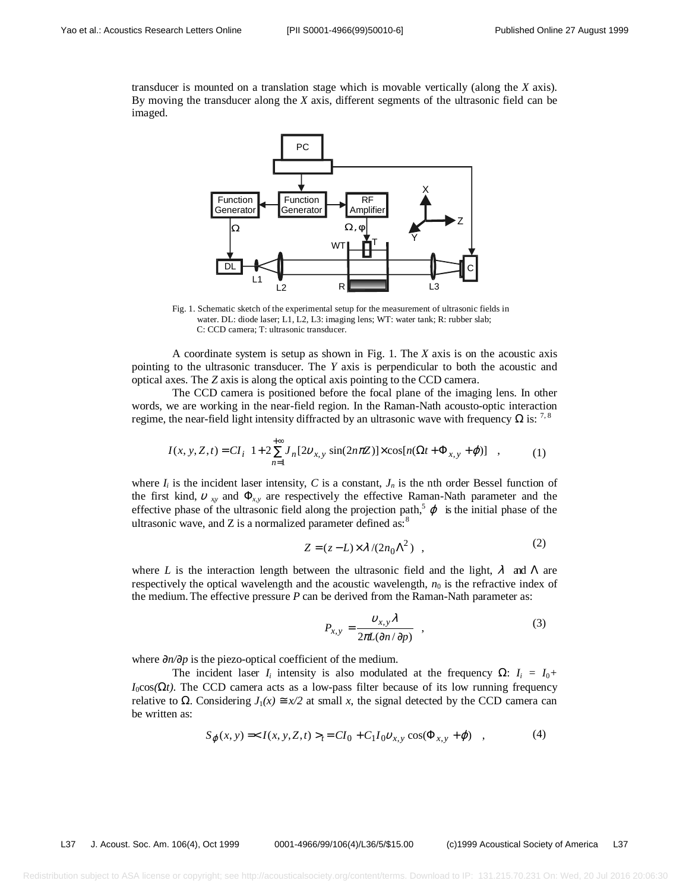transducer is mounted on a translation stage which is movable vertically (along the *X* axis). By moving the transducer along the *X* axis, different segments of the ultrasonic field can be imaged.



Fig. 1. Schematic sketch of the experimental setup for the measurement of ultrasonic fields in water. DL: diode laser; L1, L2, L3: imaging lens; WT: water tank; R: rubber slab; C: CCD camera; T: ultrasonic transducer.

A coordinate system is setup as shown in Fig. 1. The *X* axis is on the acoustic axis pointing to the ultrasonic transducer. The *Y* axis is perpendicular to both the acoustic and optical axes. The *Z* axis is along the optical axis pointing to the CCD camera.

The CCD camera is positioned before the focal plane of the imaging lens. In other words, we are working in the near-field region. In the Raman-Nath acousto-optic interaction regime, the near-field light intensity diffracted by an ultrasonic wave with frequency  $\Omega$  is: <sup>7,8</sup>

$$
I(x, y, Z, t) = CI_{i} \left( 1 + 2 \sum_{n=1}^{+\infty} J_{n} [2v_{x, y} \sin(2n\pi Z)] \times \cos[n(\Omega t + \Phi_{x, y} + \varphi)] \right),
$$
 (1)

where  $I_i$  is the incident laser intensity, C is a constant,  $J_n$  is the nth order Bessel function of the first kind,  $v_{xy}$  and  $\Phi_{xy}$  are respectively the effective Raman-Nath parameter and the effective phase of the ultrasonic field along the projection path,<sup>5</sup>  $\varphi$  is the initial phase of the ultrasonic wave, and  $Z$  is a normalized parameter defined as:<sup>8</sup>

$$
Z = (z - L) \times \lambda / (2n_0 \Lambda^2) , \qquad (2)
$$

where *L* is the interaction length between the ultrasonic field and the light,  $\lambda$  and  $\Lambda$  are respectively the optical wavelength and the acoustic wavelength,  $n_0$  is the refractive index of the medium. The effective pressure *P* can be derived from the Raman-Nath parameter as:

$$
P_{x,y} = \frac{v_{x,y} \lambda}{2\pi L(\partial n/\partial p)} \quad , \tag{3}
$$

where ∂*n/*∂*p* is the piezo-optical coefficient of the medium.

The incident laser  $I_i$  intensity is also modulated at the frequency  $\Omega$ :  $I_i = I_0 + I_1$  $I_0 \cos(\Omega t)$ . The CCD camera acts as a low-pass filter because of its low running frequency relative to  $\Omega$ . Considering  $J_1(x) \cong x/2$  at small x, the signal detected by the CCD camera can be written as:

$$
S_{\varphi}(x, y) = _{t} = CI_{0} + C_{1}I_{0}v_{x, y} \cos(\Phi_{x, y} + \varphi) , \qquad (4)
$$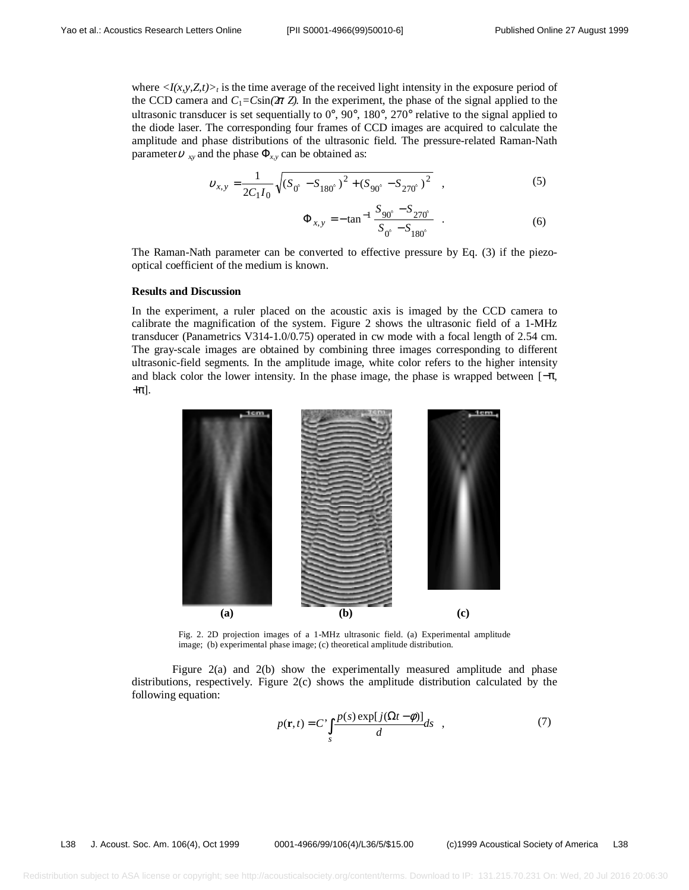where  $\langle I(x,y,Z_t)\rangle_t$  is the time average of the received light intensity in the exposure period of the CCD camera and  $C_1 = C\sin(\pi z)$ . In the experiment, the phase of the signal applied to the ultrasonic transducer is set sequentially to  $0^{\circ}$ ,  $90^{\circ}$ ,  $180^{\circ}$ ,  $270^{\circ}$  relative to the signal applied to the diode laser. The corresponding four frames of CCD images are acquired to calculate the amplitude and phase distributions of the ultrasonic field. The pressure-related Raman-Nath parameter  $v_{xy}$  and the phase  $\Phi_{xy}$  can be obtained as:

$$
v_{x,y} = \frac{1}{2C_1I_0} \sqrt{(S_{0^\circ} - S_{180^\circ})^2 + (S_{90^\circ} - S_{270^\circ})^2} \quad , \tag{5}
$$

$$
\Phi_{x,y} = -\tan^{-1} \frac{S_{90^\circ} - S_{270^\circ}}{S_{0^\circ} - S_{180^\circ}} \quad . \tag{6}
$$

The Raman-Nath parameter can be converted to effective pressure by Eq. (3) if the piezooptical coefficient of the medium is known.

# **Results and Discussion**

In the experiment, a ruler placed on the acoustic axis is imaged by the CCD camera to calibrate the magnification of the system. Figure 2 shows the ultrasonic field of a 1-MHz transducer (Panametrics V314-1.0/0.75) operated in cw mode with a focal length of 2.54 cm. The gray-scale images are obtained by combining three images corresponding to different ultrasonic-field segments. In the amplitude image, white color refers to the higher intensity and black color the lower intensity. In the phase image, the phase is wrapped between  $[-\pi,$  $+\pi$ ].



Fig. 2. 2D projection images of a 1-MHz ultrasonic field. (a) Experimental amplitude image; (b) experimental phase image; (c) theoretical amplitude distribution.

Figure 2(a) and 2(b) show the experimentally measured amplitude and phase distributions, respectively. Figure 2(c) shows the amplitude distribution calculated by the following equation:

$$
p(\mathbf{r},t) = C' \int_{s} \frac{p(s) \exp[j(\Omega t - \phi)]}{d} ds , \qquad (7)
$$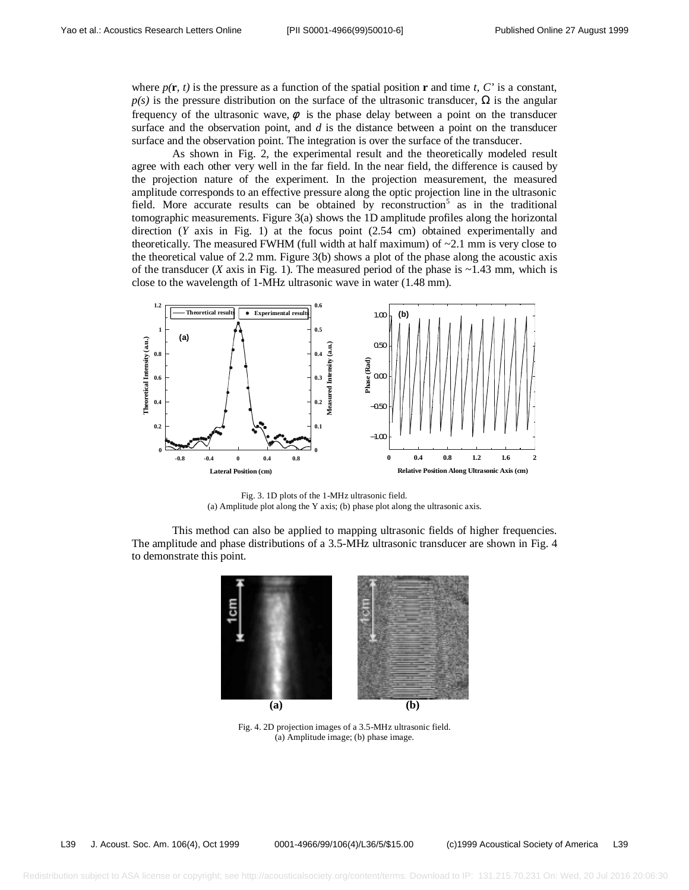where  $p(\mathbf{r}, t)$  is the pressure as a function of the spatial position **r** and time *t*, *C*' is a constant,  $p(s)$  is the pressure distribution on the surface of the ultrasonic transducer,  $\Omega$  is the angular frequency of the ultrasonic wave,  $\phi$  is the phase delay between a point on the transducer surface and the observation point, and *d* is the distance between a point on the transducer surface and the observation point. The integration is over the surface of the transducer.

As shown in Fig. 2, the experimental result and the theoretically modeled result agree with each other very well in the far field. In the near field, the difference is caused by the projection nature of the experiment. In the projection measurement, the measured amplitude corresponds to an effective pressure along the optic projection line in the ultrasonic field. More accurate results can be obtained by reconstruction<sup>5</sup> as in the traditional tomographic measurements. Figure 3(a) shows the 1D amplitude profiles along the horizontal direction (*Y* axis in Fig. 1) at the focus point (2.54 cm) obtained experimentally and theoretically. The measured FWHM (full width at half maximum) of  $\sim$ 2.1 mm is very close to the theoretical value of 2.2 mm. Figure 3(b) shows a plot of the phase along the acoustic axis of the transducer (*X* axis in Fig. 1). The measured period of the phase is  $\sim$ 1.43 mm, which is close to the wavelength of 1-MHz ultrasonic wave in water (1.48 mm).



Fig. 3. 1D plots of the 1-MHz ultrasonic field. (a) Amplitude plot along the Y axis; (b) phase plot along the ultrasonic axis.

This method can also be applied to mapping ultrasonic fields of higher frequencies. The amplitude and phase distributions of a 3.5-MHz ultrasonic transducer are shown in Fig. 4 to demonstrate this point.



Fig. 4. 2D projection images of a 3.5-MHz ultrasonic field. (a) Amplitude image; (b) phase image.

L39 J. Acoust. Soc. Am. 106(4), Oct 1999 0001-4966/99/106(4)/L36/5/\$15.00 (c)1999 Acoustical Society of America L39